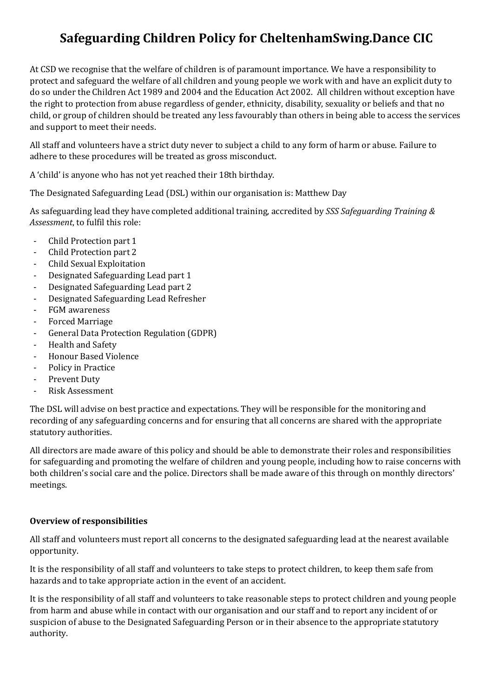# **Safeguarding Children Policy for CheltenhamSwing.Dance CIC**

At CSD we recognise that the welfare of children is of paramount importance. We have a responsibility to protect and safeguard the welfare of all children and young people we work with and have an explicit duty to do so under the Children Act 1989 and 2004 and the Education Act 2002. All children without exception have the right to protection from abuse regardless of gender, ethnicity, disability, sexuality or beliefs and that no child, or group of children should be treated any less favourably than others in being able to access the services and support to meet their needs.

All staff and volunteers have a strict duty never to subject a child to any form of harm or abuse. Failure to adhere to these procedures will be treated as gross misconduct.

A 'child' is anyone who has not yet reached their 18th birthday.

The Designated Safeguarding Lead (DSL) within our organisation is: Matthew Day

As safeguarding lead they have completed additional training, accredited by *SSS Safeguarding Training & Assessment*, to fulfil this role:

- Child Protection part 1
- Child Protection part 2
- Child Sexual Exploitation
- Designated Safeguarding Lead part 1
- Designated Safeguarding Lead part 2
- Designated Safeguarding Lead Refresher
- FGM awareness
- Forced Marriage
- General Data Protection Regulation (GDPR)
- Health and Safety
- Honour Based Violence
- Policy in Practice
- Prevent Duty
- Risk Assessment

The DSL will advise on best practice and expectations. They will be responsible for the monitoring and recording of any safeguarding concerns and for ensuring that all concerns are shared with the appropriate statutory authorities.

All directors are made aware of this policy and should be able to demonstrate their roles and responsibilities for safeguarding and promoting the welfare of children and young people, including how to raise concerns with both children's social care and the police. Directors shall be made aware of this through on monthly directors' meetings.

## **Overview of responsibilities**

All staff and volunteers must report all concerns to the designated safeguarding lead at the nearest available opportunity.

It is the responsibility of all staff and volunteers to take steps to protect children, to keep them safe from hazards and to take appropriate action in the event of an accident.

It is the responsibility of all staff and volunteers to take reasonable steps to protect children and young people from harm and abuse while in contact with our organisation and our staff and to report any incident of or suspicion of abuse to the Designated Safeguarding Person or in their absence to the appropriate statutory authority.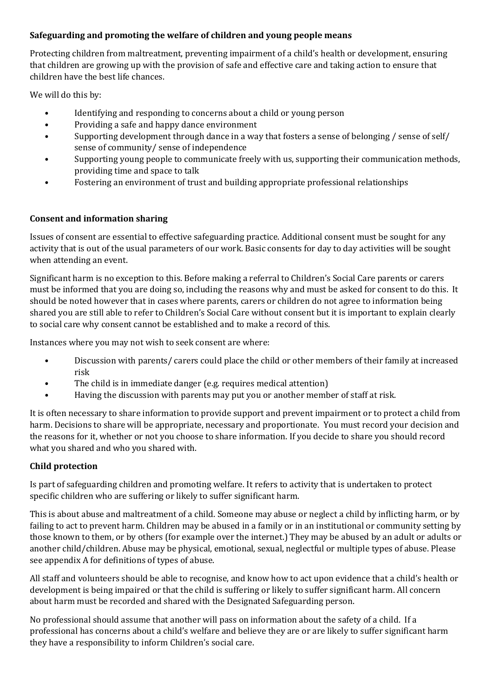## **Safeguarding and promoting the welfare of children and young people means**

Protecting children from maltreatment, preventing impairment of a child's health or development, ensuring that children are growing up with the provision of safe and effective care and taking action to ensure that children have the best life chances.

We will do this by:

- Identifying and responding to concerns about a child or young person
- Providing a safe and happy dance environment
- Supporting development through dance in a way that fosters a sense of belonging / sense of self/ sense of community/ sense of independence
- Supporting young people to communicate freely with us, supporting their communication methods, providing time and space to talk
- Fostering an environment of trust and building appropriate professional relationships

## **Consent and information sharing**

Issues of consent are essential to effective safeguarding practice. Additional consent must be sought for any activity that is out of the usual parameters of our work. Basic consents for day to day activities will be sought when attending an event.

Significant harm is no exception to this. Before making a referral to Children's Social Care parents or carers must be informed that you are doing so, including the reasons why and must be asked for consent to do this. It should be noted however that in cases where parents, carers or children do not agree to information being shared you are still able to refer to Children's Social Care without consent but it is important to explain clearly to social care why consent cannot be established and to make a record of this.

Instances where you may not wish to seek consent are where:

- Discussion with parents/ carers could place the child or other members of their family at increased risk
- The child is in immediate danger (e.g. requires medical attention)
- Having the discussion with parents may put you or another member of staff at risk.

It is often necessary to share information to provide support and prevent impairment or to protect a child from harm. Decisions to share will be appropriate, necessary and proportionate. You must record your decision and the reasons for it, whether or not you choose to share information. If you decide to share you should record what you shared and who you shared with.

## **Child protection**

Is part of safeguarding children and promoting welfare. It refers to activity that is undertaken to protect specific children who are suffering or likely to suffer significant harm.

This is about abuse and maltreatment of a child. Someone may abuse or neglect a child by inflicting harm, or by failing to act to prevent harm. Children may be abused in a family or in an institutional or community setting by those known to them, or by others (for example over the internet.) They may be abused by an adult or adults or another child/children. Abuse may be physical, emotional, sexual, neglectful or multiple types of abuse. Please see appendix A for definitions of types of abuse.

All staff and volunteers should be able to recognise, and know how to act upon evidence that a child's health or development is being impaired or that the child is suffering or likely to suffer significant harm. All concern about harm must be recorded and shared with the Designated Safeguarding person.

No professional should assume that another will pass on information about the safety of a child. If a professional has concerns about a child's welfare and believe they are or are likely to suffer significant harm they have a responsibility to inform Children's social care.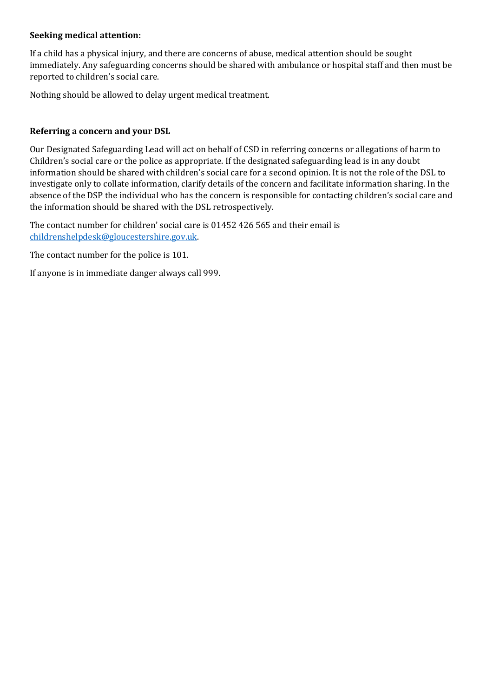#### **Seeking medical attention:**

If a child has a physical injury, and there are concerns of abuse, medical attention should be sought immediately. Any safeguarding concerns should be shared with ambulance or hospital staff and then must be reported to children's social care.

Nothing should be allowed to delay urgent medical treatment.

#### **Referring a concern and your DSL**

Our Designated Safeguarding Lead will act on behalf of CSD in referring concerns or allegations of harm to Children's social care or the police as appropriate. If the designated safeguarding lead is in any doubt information should be shared with children's social care for a second opinion. It is not the role of the DSL to investigate only to collate information, clarify details of the concern and facilitate information sharing. In the absence of the DSP the individual who has the concern is responsible for contacting children's social care and the information should be shared with the DSL retrospectively.

The contact number for children' social care is 01452 426 565 and their email is [childrenshelpdesk@gloucestershire.gov.uk.](mailto:childrenshelpdesk@gloucestershire.gov.uk)

The contact number for the police is 101.

If anyone is in immediate danger always call 999.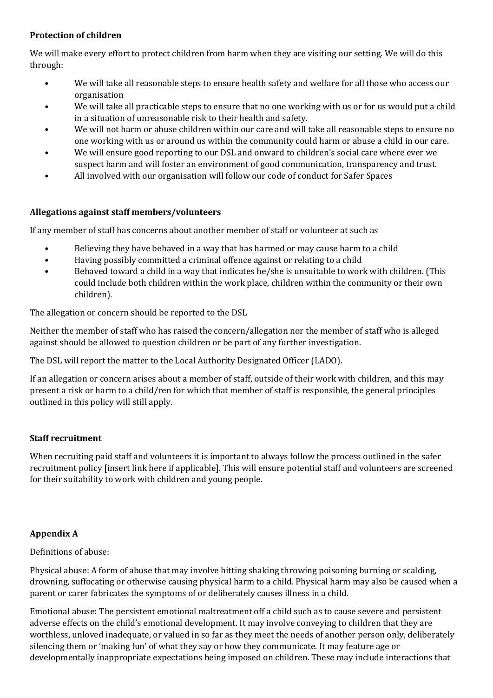## **Protection of children**

We will make every effort to protect children from harm when they are visiting our setting. We will do this through:

- We will take all reasonable steps to ensure health safety and welfare for all those who access our organisation
- We will take all practicable steps to ensure that no one working with us or for us would put a child in a situation of unreasonable risk to their health and safety.
- We will not harm or abuse children within our care and will take all reasonable steps to ensure no one working with us or around us within the community could harm or abuse a child in our care.
- We will ensure good reporting to our DSL and onward to children's social care where ever we suspect harm and will foster an environment of good communication, transparency and trust.
- All involved with our organisation will follow our code of conduct for Safer Spaces

#### **Allegations against staff members/volunteers**

If any member of staff has concerns about another member of staff or volunteer at such as

- Believing they have behaved in a way that has harmed or may cause harm to a child
- Having possibly committed a criminal offence against or relating to a child
- Behaved toward a child in a way that indicates he/she is unsuitable to work with children. (This could include both children within the work place, children within the community or their own children).

The allegation or concern should be reported to the DSL

Neither the member of staff who has raised the concern/allegation nor the member of staff who is alleged against should be allowed to question children or be part of any further investigation.

The DSL will report the matter to the Local Authority Designated Officer (LADO).

If an allegation or concern arises about a member of staff, outside of their work with children, and this may present a risk or harm to a child/ren for which that member of staff is responsible, the general principles outlined in this policy will still apply.

## **Staff recruitment**

When recruiting paid staff and volunteers it is important to always follow the process outlined in the safer recruitment policy [insert link here if applicable]. This will ensure potential staff and volunteers are screened for their suitability to work with children and young people.

## **Appendix A**

Definitions of abuse:

Physical abuse: A form of abuse that may involve hitting shaking throwing poisoning burning or scalding, drowning, suffocating or otherwise causing physical harm to a child. Physical harm may also be caused when a parent or carer fabricates the symptoms of or deliberately causes illness in a child.

Emotional abuse: The persistent emotional maltreatment off a child such as to cause severe and persistent adverse effects on the child's emotional development. It may involve conveying to children that they are worthless, unloved inadequate, or valued in so far as they meet the needs of another person only, deliberately silencing them or 'making fun' of what they say or how they communicate. It may feature age or developmentally inappropriate expectations being imposed on children. These may include interactions that